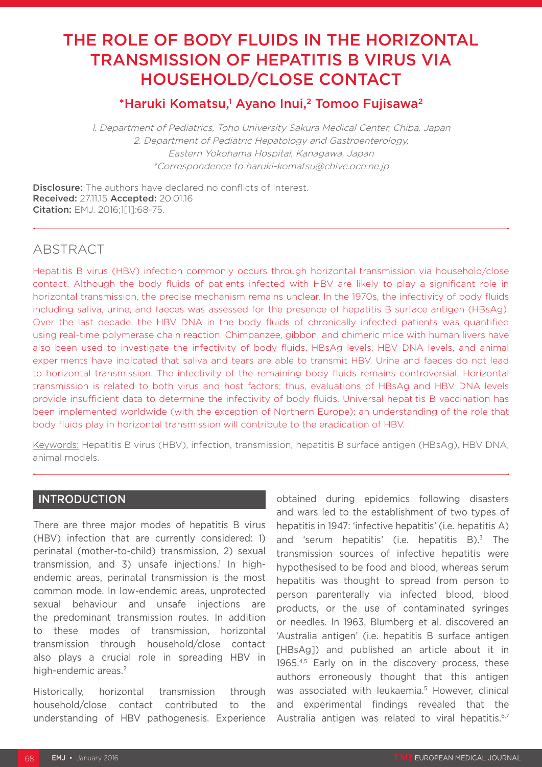# THE ROLE OF BODY FLUIDS IN THE HORIZONTAL TRANSMISSION OF HEPATITIS B VIRUS VIA HOUSEHOLD/CLOSE CONTACT

# \*Haruki Komatsu,<sup>1</sup> Ayano Inui,<sup>2</sup> Tomoo Fujisawa<sup>2</sup>

1. Department of Pediatrics, Toho University Sakura Medical Center, Chiba, Japan 2. Department of Pediatric Hepatology and Gastroenterology, Eastern Yokohama Hospital, Kanagawa, Japan \*Correspondence to haruki-komatsu@chive.ocn.ne.jp

**Disclosure:** The authors have declared no conflicts of interest. Received: 27.11.15 Accepted: 20.01.16 Citation: EMJ. 2016;1[1]:68-75.

# ABSTRACT

Hepatitis B virus (HBV) infection commonly occurs through horizontal transmission via household/close contact. Although the body fluids of patients infected with HBV are likely to play a significant role in horizontal transmission, the precise mechanism remains unclear. In the 1970s, the infectivity of body fluids including saliva, urine, and faeces was assessed for the presence of hepatitis B surface antigen (HBsAg). Over the last decade, the HBV DNA in the body fluids of chronically infected patients was quantified using real-time polymerase chain reaction. Chimpanzee, gibbon, and chimeric mice with human livers have also been used to investigate the infectivity of body fluids. HBsAg levels, HBV DNA levels, and animal experiments have indicated that saliva and tears are able to transmit HBV. Urine and faeces do not lead to horizontal transmission. The infectivity of the remaining body fluids remains controversial. Horizontal transmission is related to both virus and host factors; thus, evaluations of HBsAg and HBV DNA levels provide insufficient data to determine the infectivity of body fluids. Universal hepatitis B vaccination has been implemented worldwide (with the exception of Northern Europe); an understanding of the role that body fluids play in horizontal transmission will contribute to the eradication of HBV.

Keywords: Hepatitis B virus (HBV), infection, transmission, hepatitis B surface antigen (HBsAg), HBV DNA, animal models.

### INTRODUCTION

There are three major modes of hepatitis B virus (HBV) infection that are currently considered: 1) perinatal (mother-to-child) transmission, 2) sexual transmission, and 3) unsafe injections.<sup>1</sup> In highendemic areas, perinatal transmission is the most common mode. In low-endemic areas, unprotected sexual behaviour and unsafe injections are the predominant transmission routes. In addition to these modes of transmission, horizontal transmission through household/close contact also plays a crucial role in spreading HBV in high-endemic areas.<sup>2</sup>

Historically, horizontal transmission through household/close contact contributed to the understanding of HBV pathogenesis. Experience

obtained during epidemics following disasters and wars led to the establishment of two types of hepatitis in 1947: 'infective hepatitis' (i.e. hepatitis A) and 'serum hepatitis' (i.e. hepatitis  $B$ ).<sup>3</sup> The transmission sources of infective hepatitis were hypothesised to be food and blood, whereas serum hepatitis was thought to spread from person to person parenterally via infected blood, blood products, or the use of contaminated syringes or needles. In 1963, Blumberg et al. discovered an 'Australia antigen' (i.e. hepatitis B surface antigen [HBsAg]) and published an article about it in 1965.4,5 Early on in the discovery process, these authors erroneously thought that this antigen was associated with leukaemia.<sup>5</sup> However, clinical and experimental findings revealed that the Australia antigen was related to viral hepatitis.<sup>6,7</sup>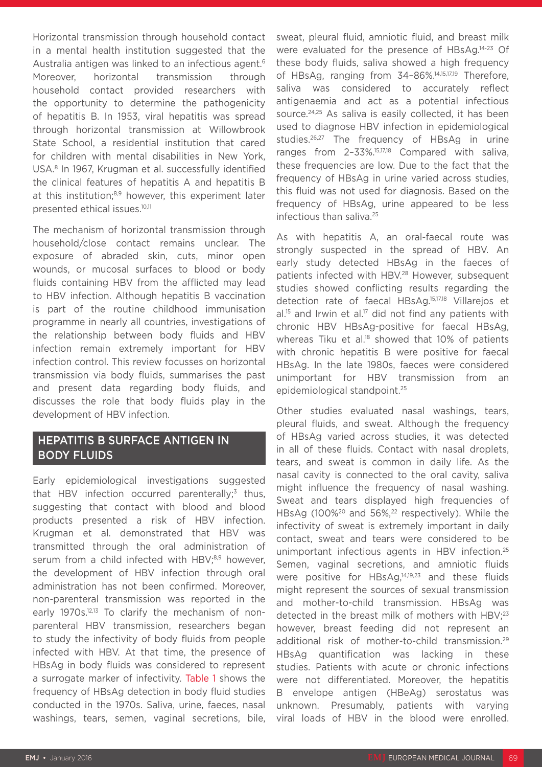Horizontal transmission through household contact in a mental health institution suggested that the Australia antigen was linked to an infectious agent.6 Moreover, horizontal transmission through household contact provided researchers with the opportunity to determine the pathogenicity of hepatitis B. In 1953, viral hepatitis was spread through horizontal transmission at Willowbrook State School, a residential institution that cared for children with mental disabilities in New York, USA.8 In 1967, Krugman et al. successfully identified the clinical features of hepatitis A and hepatitis B at this institution;<sup>8,9</sup> however, this experiment later presented ethical issues.10,11

The mechanism of horizontal transmission through household/close contact remains unclear. The exposure of abraded skin, cuts, minor open wounds, or mucosal surfaces to blood or body fluids containing HBV from the afflicted may lead to HBV infection. Although hepatitis B vaccination is part of the routine childhood immunisation programme in nearly all countries, investigations of the relationship between body fluids and HBV infection remain extremely important for HBV infection control. This review focusses on horizontal transmission via body fluids, summarises the past and present data regarding body fluids, and discusses the role that body fluids play in the development of HBV infection.

# HEPATITIS B SURFACE ANTIGEN IN BODY FLUIDS

Early epidemiological investigations suggested that HBV infection occurred parenterally; $3$  thus, suggesting that contact with blood and blood products presented a risk of HBV infection. Krugman et al. demonstrated that HBV was transmitted through the oral administration of serum from a child infected with HBV;<sup>8,9</sup> however, the development of HBV infection through oral administration has not been confirmed. Moreover, non-parenteral transmission was reported in the early 1970s.<sup>12,13</sup> To clarify the mechanism of nonparenteral HBV transmission, researchers began to study the infectivity of body fluids from people infected with HBV. At that time, the presence of HBsAg in body fluids was considered to represent a surrogate marker of infectivity. Table 1 shows the frequency of HBsAg detection in body fluid studies conducted in the 1970s. Saliva, urine, faeces, nasal washings, tears, semen, vaginal secretions, bile,

sweat, pleural fluid, amniotic fluid, and breast milk were evaluated for the presence of HBsAg.14-23 Of these body fluids, saliva showed a high frequency of HBsAg, ranging from 34-86%.<sup>14,15,17,19</sup> Therefore, saliva was considered to accurately reflect antigenaemia and act as a potential infectious source.<sup>24,25</sup> As saliva is easily collected, it has been used to diagnose HBV infection in epidemiological studies.26,27 The frequency of HBsAg in urine ranges from 2–33%.15,17,18 Compared with saliva, these frequencies are low. Due to the fact that the frequency of HBsAg in urine varied across studies, this fluid was not used for diagnosis. Based on the frequency of HBsAg, urine appeared to be less infectious than saliva.25

As with hepatitis A, an oral-faecal route was strongly suspected in the spread of HBV. An early study detected HBsAg in the faeces of patients infected with HBV.<sup>28</sup> However, subsequent studies showed conflicting results regarding the detection rate of faecal HBsAg.15,17,18 Villarejos et  $al^{15}$  and Irwin et al.<sup>17</sup> did not find any patients with chronic HBV HBsAg-positive for faecal HBsAg, whereas Tiku et al.<sup>18</sup> showed that 10% of patients with chronic hepatitis B were positive for faecal HBsAg. In the late 1980s, faeces were considered unimportant for HBV transmission from an epidemiological standpoint.25

Other studies evaluated nasal washings, tears, pleural fluids, and sweat. Although the frequency of HBsAg varied across studies, it was detected in all of these fluids. Contact with nasal droplets, tears, and sweat is common in daily life. As the nasal cavity is connected to the oral cavity, saliva might influence the frequency of nasal washing. Sweat and tears displayed high frequencies of HBsAg (100%<sup>20</sup> and 56%,<sup>22</sup> respectively). While the infectivity of sweat is extremely important in daily contact, sweat and tears were considered to be unimportant infectious agents in HBV infection.<sup>25</sup> Semen, vaginal secretions, and amniotic fluids were positive for HBsAg,14,19,23 and these fluids might represent the sources of sexual transmission and mother-to-child transmission. HBsAg was detected in the breast milk of mothers with HBV:<sup>23</sup> however, breast feeding did not represent an additional risk of mother-to-child transmission.29 HBsAg quantification was lacking in these studies. Patients with acute or chronic infections were not differentiated. Moreover, the hepatitis B envelope antigen (HBeAg) serostatus was unknown. Presumably, patients with varying viral loads of HBV in the blood were enrolled.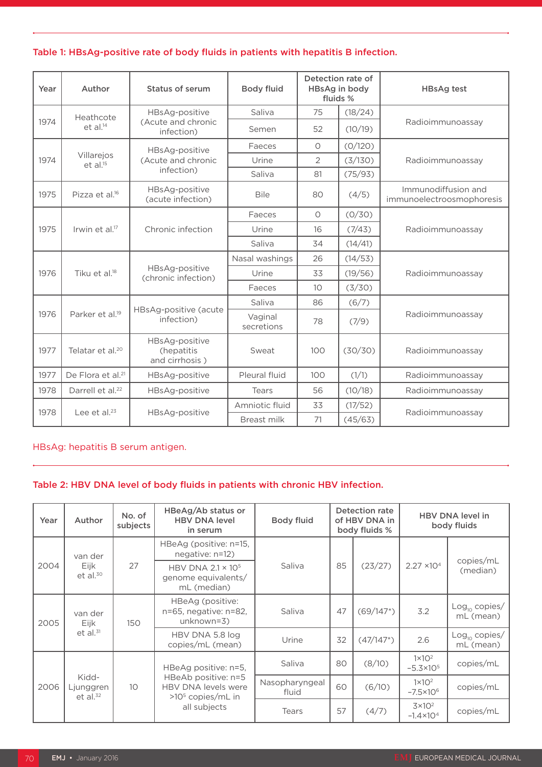#### Table 1: HBsAg-positive rate of body fluids in patients with hepatitis B infection.

| Year | Author                        | Status of serum                                | <b>Body fluid</b>     | Detection rate of<br>HBsAg in body<br>fluids % |         | <b>HBsAg test</b>                                |  |
|------|-------------------------------|------------------------------------------------|-----------------------|------------------------------------------------|---------|--------------------------------------------------|--|
|      | Heathcote                     | HBsAg-positive                                 | Saliva                | 75                                             | (18/24) |                                                  |  |
| 1974 | $et$ al. $14$                 | (Acute and chronic<br>infection)               | Semen                 | 52                                             | (10/19) | Radioimmunoassay                                 |  |
|      |                               | HBsAg-positive                                 | Faeces                | $\circ$                                        | (0/120) |                                                  |  |
| 1974 | Villarejos<br>$et$ al. $15$   | (Acute and chronic                             | Urine                 | 2                                              | (3/130) | Radioimmunoassay                                 |  |
|      |                               | infection)                                     | Saliva                | 81                                             | (75/93) |                                                  |  |
| 1975 | Pizza et al. <sup>16</sup>    | HBsAg-positive<br>(acute infection)            | <b>Bile</b>           | 80                                             | (4/5)   | Immunodiffusion and<br>immunoelectroosmophoresis |  |
|      |                               |                                                | Faeces                | $\circ$                                        | (0/30)  |                                                  |  |
| 1975 | Irwin et al. <sup>17</sup>    | Chronic infection                              | Urine                 | 16                                             | (7/43)  | Radioimmunoassay                                 |  |
|      |                               |                                                | Saliva                | 34                                             | (14/41) |                                                  |  |
| 1976 | Tiku et al. <sup>18</sup>     |                                                | Nasal washings        | 26                                             | (14/53) |                                                  |  |
|      |                               | HBsAg-positive<br>(chronic infection)          | Urine                 | 33                                             | (19/56) | Radioimmunoassay                                 |  |
|      |                               |                                                | Faeces                | 10 <sup>°</sup>                                | (3/30)  |                                                  |  |
|      |                               |                                                | Saliva                | 86                                             | (6/7)   |                                                  |  |
| 1976 | Parker et al. <sup>19</sup>   | HBsAg-positive (acute<br>infection)            | Vaginal<br>secretions | 78                                             | (7/9)   | Radioimmunoassay                                 |  |
| 1977 | Telatar et al. <sup>20</sup>  | HBsAg-positive<br>(hepatitis<br>and cirrhosis) | Sweat                 | 100                                            | (30/30) | Radioimmunoassay                                 |  |
| 1977 | De Flora et al. <sup>21</sup> | HBsAg-positive                                 | Pleural fluid         | 100                                            | (1/1)   | Radioimmunoassay                                 |  |
| 1978 | Darrell et al. <sup>22</sup>  | HBsAg-positive                                 | Tears                 | 56                                             | (10/18) | Radioimmunoassay                                 |  |
|      |                               |                                                | Amniotic fluid        | 33                                             | (17/52) |                                                  |  |
| 1978 | Lee et al. <sup>23</sup>      | HBsAg-positive                                 | Breast milk           | 71                                             | (45/63) | Radioimmunoassay                                 |  |

#### HBsAg: hepatitis B serum antigen.

#### Table 2: HBV DNA level of body fluids in patients with chronic HBV infection.

| Year | Author                                  | No. of<br>subjects | HBeAg/Ab status or<br><b>HBV DNA level</b><br>in serum                                           | <b>Body fluid</b>       | Detection rate<br>of HBV DNA in<br>body fluids % |                | <b>HBV DNA level in</b><br>body fluids  |                                 |
|------|-----------------------------------------|--------------------|--------------------------------------------------------------------------------------------------|-------------------------|--------------------------------------------------|----------------|-----------------------------------------|---------------------------------|
| 2004 | van der<br>Eijk<br>$et$ al. $30$        | 27                 | HBeAg (positive: n=15,<br>negative: n=12)                                                        |                         | 85                                               | (23/27)        | $2.27 \times 10^{4}$                    | copies/mL<br>(median)           |
|      |                                         |                    | HBV DNA 2.1 × 10 <sup>5</sup><br>genome equivalents/<br>mL (median)                              | Saliva                  |                                                  |                |                                         |                                 |
| 2005 | van der<br>Eijk<br>et al. <sup>31</sup> | 150                | HBeAg (positive:<br>n=65, negative: n=82,<br>$unknown=3)$                                        | Saliva                  | 47                                               | $(69/147^{*})$ | 3.2                                     | $Log_{10}$ copies/<br>mL (mean) |
|      |                                         |                    | HBV DNA 5.8 log<br>copies/mL (mean)                                                              | Urine                   | 32                                               | $(47/147^{*})$ | 2.6                                     | $Log_{10}$ copies/<br>mL (mean) |
| 2006 |                                         | 10                 | HBeAg positive: n=5,<br>HBeAb positive: n=5<br><b>HBV DNA levels were</b><br>$>105$ copies/mL in | Saliva                  | 80                                               | (8/10)         | $1 \times 10^2$<br>$-5.3 \times 10^{5}$ | copies/mL                       |
|      | Kidd-<br>Ljunggren<br>et al. $32$       |                    |                                                                                                  | Nasopharyngeal<br>fluid | 60                                               | (6/10)         | $1 \times 10^2$<br>$-7.5 \times 10^{6}$ | copies/mL                       |
|      |                                         |                    | all subjects                                                                                     | Tears                   | 57                                               | (4/7)          | $3\times10^2$<br>$-1.4 \times 10^{4}$   | copies/mL                       |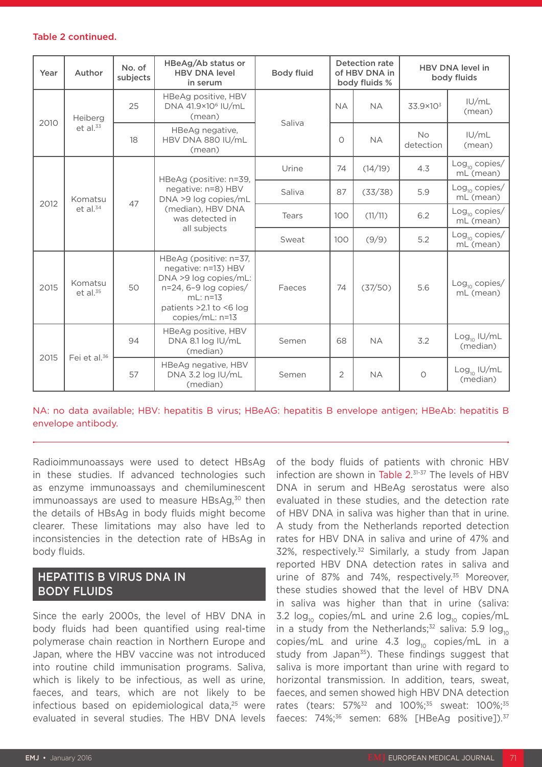#### Table 2 continued.

| Year | Author                          | No. of<br>subjects | HBeAg/Ab status or<br><b>HBV DNA level</b><br>in serum                                                                                                         | <b>Body fluid</b> | Detection rate<br>of HBV DNA in<br>body fluids % |           | <b>HBV DNA level in</b><br>body fluids |                                        |
|------|---------------------------------|--------------------|----------------------------------------------------------------------------------------------------------------------------------------------------------------|-------------------|--------------------------------------------------|-----------|----------------------------------------|----------------------------------------|
| 2010 | Heiberg<br>et al. <sup>33</sup> | 25                 | HBeAg positive, HBV<br>DNA 41.9×10 <sup>6</sup> IU/mL<br>(mean)                                                                                                | Saliva            | <b>NA</b>                                        | <b>NA</b> | $33.9 \times 10^{3}$                   | IU/mL<br>(mean)                        |
|      |                                 | 18                 | HBeAg negative,<br>HBV DNA 880 IU/mL<br>(mean)                                                                                                                 |                   | $\bigcirc$                                       | <b>NA</b> | <b>No</b><br>detection                 | IU/mL<br>(mean)                        |
| 2012 | Komatsu<br>et al. <sup>34</sup> | 47                 | HBeAg (positive: n=39,<br>negative: n=8) HBV<br>DNA >9 log copies/mL<br>(median), HBV DNA<br>was detected in                                                   | Urine             | 74                                               | (14/19)   | 4.3                                    | $Log_{10}$ copies/<br>mL (mean)        |
|      |                                 |                    |                                                                                                                                                                | Saliva            | 87                                               | (33/38)   | 5.9                                    | $\text{Log}_{10}$ copies/<br>mL (mean) |
|      |                                 |                    |                                                                                                                                                                | Tears             | 100                                              | (11/11)   | 6.2                                    | $Log_{10}$ copies/<br>mL (mean)        |
|      |                                 |                    | all subjects                                                                                                                                                   | Sweat             | 100                                              | (9/9)     | 5.2                                    | $Log_{10}$ copies/<br>mL (mean)        |
| 2015 | Komatsu<br>et al. <sup>35</sup> | 50                 | HBeAg (positive: n=37,<br>negative: n=13) HBV<br>DNA >9 log copies/mL:<br>n=24, 6-9 log copies/<br>$mL: n=13$<br>patients > 2.1 to <6 log<br>$copies/mL: n=13$ | Faeces            | 74                                               | (37/50)   | 5.6                                    | $Log_{10}$ copies/<br>mL (mean)        |
| 2015 | Fei et al. <sup>36</sup>        | 94                 | HBeAg positive, HBV<br>DNA 8.1 log IU/mL<br>(median)                                                                                                           | Semen             | 68                                               | <b>NA</b> | 3.2                                    | $Log_{10}$ IU/mL<br>(median)           |
|      |                                 | 57                 | HBeAg negative, HBV<br>DNA 3.2 log IU/mL<br>(median)                                                                                                           | Semen             | $\overline{2}$                                   | <b>NA</b> | $\circ$                                | $Log_{10}$ IU/mL<br>(median)           |

#### NA: no data available; HBV: hepatitis B virus; HBeAG: hepatitis B envelope antigen; HBeAb: hepatitis B envelope antibody.

Radioimmunoassays were used to detect HBsAg in these studies. If advanced technologies such as enzyme immunoassays and chemiluminescent immunoassays are used to measure  $HBSAg<sub>30</sub>$  then the details of HBsAg in body fluids might become clearer. These limitations may also have led to inconsistencies in the detection rate of HBsAg in body fluids.

# HEPATITIS B VIRUS DNA IN BODY FLUIDS

Since the early 2000s, the level of HBV DNA in body fluids had been quantified using real-time polymerase chain reaction in Northern Europe and Japan, where the HBV vaccine was not introduced into routine child immunisation programs. Saliva, which is likely to be infectious, as well as urine, faeces, and tears, which are not likely to be infectious based on epidemiological data,<sup>25</sup> were evaluated in several studies. The HBV DNA levels

of the body fluids of patients with chronic HBV infection are shown in Table 2. 31-37 The levels of HBV DNA in serum and HBeAg serostatus were also evaluated in these studies, and the detection rate of HBV DNA in saliva was higher than that in urine. A study from the Netherlands reported detection rates for HBV DNA in saliva and urine of 47% and  $32\%$ , respectively.<sup>32</sup> Similarly, a study from Japan reported HBV DNA detection rates in saliva and urine of 87% and 74%, respectively.<sup>35</sup> Moreover, these studies showed that the level of HBV DNA in saliva was higher than that in urine (saliva: 3.2  $log_{10}$  copies/mL and urine 2.6  $log_{10}$  copies/mL in a study from the Netherlands;<sup>32</sup> saliva: 5.9 log<sub>10</sub> copies/mL and urine 4.3  $log_{10}$  copies/mL in a study from Japan $35$ ). These findings suggest that saliva is more important than urine with regard to horizontal transmission. In addition, tears, sweat, faeces, and semen showed high HBV DNA detection rates (tears: 57%<sup>32</sup> and 100%;<sup>35</sup> sweat: 100%;<sup>35</sup> faeces: 74%;<sup>36</sup> semen: 68% [HBeAg positive]).<sup>37</sup>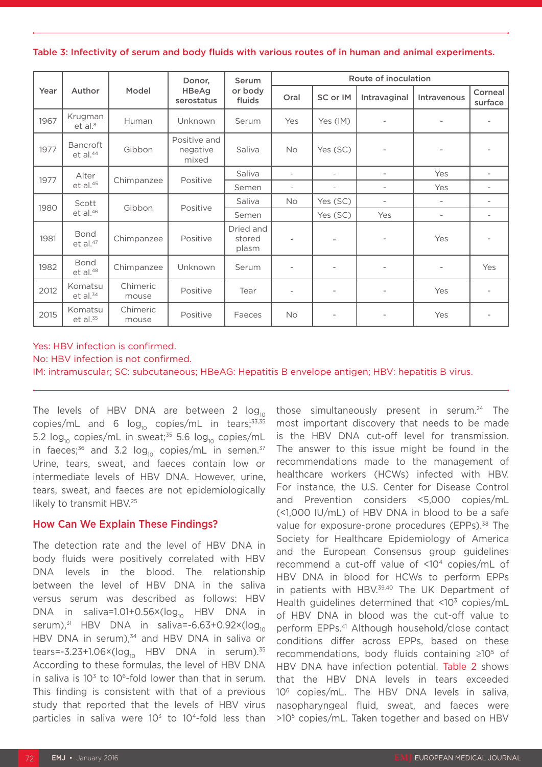Table 3: Infectivity of serum and body fluids with various routes of in human and animal experiments.

|      | Author                              | Model             | Donor,<br><b>HBeAg</b><br>serostatus | Serum<br>or body<br>fluids   | Route of inoculation     |                          |                          |                          |                          |  |
|------|-------------------------------------|-------------------|--------------------------------------|------------------------------|--------------------------|--------------------------|--------------------------|--------------------------|--------------------------|--|
| Year |                                     |                   |                                      |                              | Oral                     | SC or IM                 | Intravaginal             | Intravenous              | Corneal<br>surface       |  |
| 1967 | Krugman<br>et al. <sup>8</sup>      | Human             | Unknown                              | Serum                        | Yes                      | Yes (IM)                 | $\overline{\phantom{a}}$ | $\overline{\phantom{m}}$ | $\overline{a}$           |  |
| 1977 | Bancroft<br>$et$ al. $44$           | Gibbon            | Positive and<br>negative<br>mixed    | Saliva                       | <b>No</b>                | Yes (SC)                 | $\overline{\phantom{a}}$ |                          |                          |  |
| 1977 | Alter<br>et al. <sup>45</sup>       | Chimpanzee        | Positive                             | Saliva                       | $\overline{\phantom{a}}$ | $\overline{a}$           | $\overline{\phantom{a}}$ | Yes                      | $\overline{\phantom{0}}$ |  |
|      |                                     |                   |                                      | Semen                        | $\overline{\phantom{a}}$ | $\overline{\phantom{a}}$ | $\overline{\phantom{a}}$ | Yes                      | $\overline{\phantom{0}}$ |  |
| 1980 | Scott<br>et al. <sup>46</sup>       | Gibbon            | Positive                             | Saliva                       | <b>No</b>                | Yes (SC)                 | $\overline{\phantom{a}}$ | $\overline{a}$           | $\overline{\phantom{0}}$ |  |
|      |                                     |                   |                                      | Semen                        |                          | Yes (SC)                 | Yes                      | $\overline{\phantom{0}}$ | $\overline{\phantom{0}}$ |  |
| 1981 | <b>Bond</b><br>et al. <sup>47</sup> | Chimpanzee        | Positive                             | Dried and<br>stored<br>plasm | $\overline{\phantom{a}}$ | ۰                        | $\overline{\phantom{a}}$ | Yes                      | $\overline{\phantom{a}}$ |  |
| 1982 | <b>Bond</b><br>$et$ al. $48$        | Chimpanzee        | Unknown                              | Serum                        | $\overline{\phantom{a}}$ | $\overline{\phantom{0}}$ | $\overline{a}$           | $\overline{\phantom{0}}$ | Yes                      |  |
| 2012 | Komatsu<br>et al. <sup>34</sup>     | Chimeric<br>mouse | Positive                             | Tear                         | $\overline{\phantom{a}}$ | $\overline{\phantom{a}}$ | $\overline{\phantom{a}}$ | Yes                      | $\qquad \qquad -$        |  |
| 2015 | Komatsu<br>et al. <sup>35</sup>     | Chimeric<br>mouse | Positive                             | Faeces                       | <b>No</b>                | $\overline{\phantom{a}}$ |                          | Yes                      |                          |  |

#### Yes: HBV infection is confirmed. No: HBV infection is not confirmed. IM: intramuscular; SC: subcutaneous; HBeAG: Hepatitis B envelope antigen; HBV: hepatitis B virus.

The levels of HBV DNA are between 2  $log_{10}$ copies/mL and 6  $log_{10}$  copies/mL in tears;<sup>33,35</sup> 5.2  $log_{10}$  copies/mL in sweat;<sup>35</sup> 5.6  $log_{10}$  copies/mL in faeces;<sup>36</sup> and 3.2 log<sub>10</sub> copies/mL in semen.<sup>37</sup> Urine, tears, sweat, and faeces contain low or intermediate levels of HBV DNA. However, urine, tears, sweat, and faeces are not epidemiologically likely to transmit HBV.<sup>25</sup>

#### How Can We Explain These Findings?

The detection rate and the level of HBV DNA in body fluids were positively correlated with HBV DNA levels in the blood. The relationship between the level of HBV DNA in the saliva versus serum was described as follows: HBV DNA in saliva=1.01+0.56 $\times$ (log<sub>10</sub> HBV DNA in serum), $31$  HBV DNA in saliva=-6.63+0.92×( $log_{10}$ HBV DNA in serum),<sup>34</sup> and HBV DNA in saliva or tears=-3.23+1.06×( $log_{10}$  HBV DNA in serum).<sup>35</sup> According to these formulas, the level of HBV DNA in saliva is  $10<sup>3</sup>$  to  $10<sup>6</sup>$ -fold lower than that in serum. This finding is consistent with that of a previous study that reported that the levels of HBV virus particles in saliva were  $10<sup>3</sup>$  to  $10<sup>4</sup>$ -fold less than

those simultaneously present in serum.<sup>24</sup> The most important discovery that needs to be made is the HBV DNA cut-off level for transmission. The answer to this issue might be found in the recommendations made to the management of healthcare workers (HCWs) infected with HBV. For instance, the U.S. Center for Disease Control and Prevention considers <5,000 copies/mL (<1,000 IU/mL) of HBV DNA in blood to be a safe value for exposure-prone procedures (EPPs).<sup>38</sup> The Society for Healthcare Epidemiology of America and the European Consensus group guidelines recommend a cut-off value of <104 copies/mL of HBV DNA in blood for HCWs to perform EPPs in patients with HBV.<sup>39,40</sup> The UK Department of Health guidelines determined that  $\langle 10^3 \text{ copies/mL} \rangle$ of HBV DNA in blood was the cut-off value to perform EPPs.41 Although household/close contact conditions differ across EPPs, based on these recommendations, body fluids containing ≥105 of HBV DNA have infection potential. Table 2 shows that the HBV DNA levels in tears exceeded 106 copies/mL. The HBV DNA levels in saliva, nasopharyngeal fluid, sweat, and faeces were >105 copies/mL. Taken together and based on HBV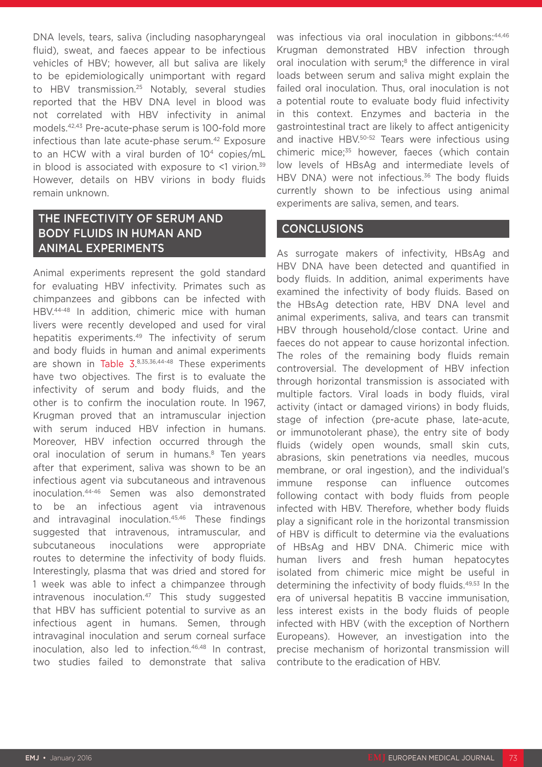DNA levels, tears, saliva (including nasopharyngeal fluid), sweat, and faeces appear to be infectious vehicles of HBV; however, all but saliva are likely to be epidemiologically unimportant with regard to HBV transmission.25 Notably, several studies reported that the HBV DNA level in blood was not correlated with HBV infectivity in animal models.42,43 Pre-acute-phase serum is 100-fold more infectious than late acute-phase serum.<sup>42</sup> Exposure to an HCW with a viral burden of 10<sup>4</sup> copies/mL in blood is associated with exposure to  $\leq 1$  virion.<sup>39</sup> However, details on HBV virions in body fluids remain unknown.

# THE INFECTIVITY OF SERUM AND BODY FLUIDS IN HUMAN AND ANIMAL EXPERIMENTS

Animal experiments represent the gold standard for evaluating HBV infectivity. Primates such as chimpanzees and gibbons can be infected with HBV.44-48 In addition, chimeric mice with human livers were recently developed and used for viral hepatitis experiments.<sup>49</sup> The infectivity of serum and body fluids in human and animal experiments are shown in Table  $3.^{8,35,36,44-48}$  These experiments have two objectives. The first is to evaluate the infectivity of serum and body fluids, and the other is to confirm the inoculation route. In 1967, Krugman proved that an intramuscular injection with serum induced HBV infection in humans. Moreover, HBV infection occurred through the oral inoculation of serum in humans.<sup>8</sup> Ten years after that experiment, saliva was shown to be an infectious agent via subcutaneous and intravenous inoculation.44-46 Semen was also demonstrated to be an infectious agent via intravenous and intravaginal inoculation.45,46 These findings suggested that intravenous, intramuscular, and subcutaneous inoculations were appropriate routes to determine the infectivity of body fluids. Interestingly, plasma that was dried and stored for 1 week was able to infect a chimpanzee through  $intravenous inoculation.<sup>47</sup> This study suggested$ that HBV has sufficient potential to survive as an infectious agent in humans. Semen, through intravaginal inoculation and serum corneal surface inoculation, also led to infection.46,48 In contrast, two studies failed to demonstrate that saliva

was infectious via oral inoculation in gibbons: 44,46 Krugman demonstrated HBV infection through oral inoculation with serum;<sup>8</sup> the difference in viral loads between serum and saliva might explain the failed oral inoculation. Thus, oral inoculation is not a potential route to evaluate body fluid infectivity in this context. Enzymes and bacteria in the gastrointestinal tract are likely to affect antigenicity and inactive HBV.50-52 Tears were infectious using chimeric mice;<sup>35</sup> however, faeces (which contain low levels of HBsAg and intermediate levels of HBV DNA) were not infectious.<sup>36</sup> The body fluids currently shown to be infectious using animal experiments are saliva, semen, and tears.

### **CONCLUSIONS**

As surrogate makers of infectivity, HBsAg and HBV DNA have been detected and quantified in body fluids. In addition, animal experiments have examined the infectivity of body fluids. Based on the HBsAg detection rate, HBV DNA level and animal experiments, saliva, and tears can transmit HBV through household/close contact. Urine and faeces do not appear to cause horizontal infection. The roles of the remaining body fluids remain controversial. The development of HBV infection through horizontal transmission is associated with multiple factors. Viral loads in body fluids, viral activity (intact or damaged virions) in body fluids, stage of infection (pre-acute phase, late-acute, or immunotolerant phase), the entry site of body fluids (widely open wounds, small skin cuts, abrasions, skin penetrations via needles, mucous membrane, or oral ingestion), and the individual's immune response can influence outcomes following contact with body fluids from people infected with HBV. Therefore, whether body fluids play a significant role in the horizontal transmission of HBV is difficult to determine via the evaluations of HBsAg and HBV DNA. Chimeric mice with human livers and fresh human hepatocytes isolated from chimeric mice might be useful in determining the infectivity of body fluids.49,53 In the era of universal hepatitis B vaccine immunisation, less interest exists in the body fluids of people infected with HBV (with the exception of Northern Europeans). However, an investigation into the precise mechanism of horizontal transmission will contribute to the eradication of HBV.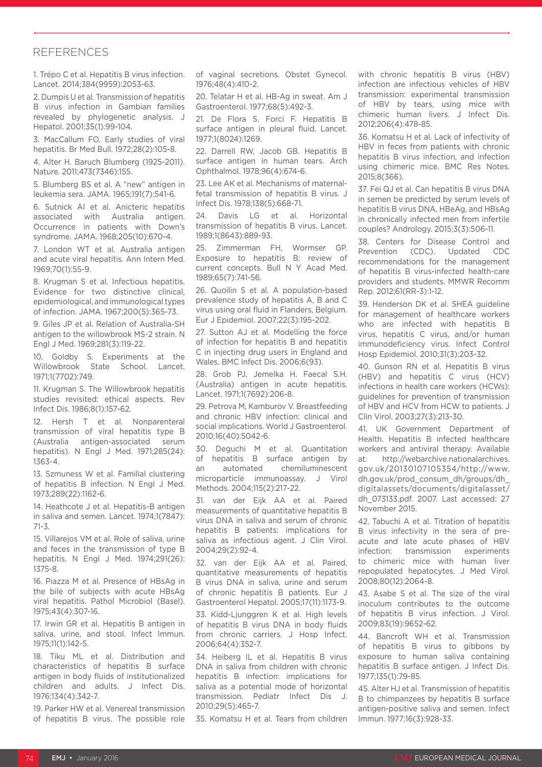#### **REFERENCES**

1. Trépo C et al. Hepatitis B virus infection. Lancet. 2014;384(9959):2053-63.

2. Dumpis U et al. Transmission of hepatitis B virus infection in Gambian families revealed by phylogenetic analysis. J Hepatol. 2001;35(1):99-104.

3. MacCallum FO. Early studies of viral hepatitis. Br Med Bull. 1972;28(2):105-8.

4. Alter H. Baruch Blumberg (1925-2011). Nature. 2011;473(7346):155.

5. Blumberg BS et al. A "new" antigen in leukemia sera. JAMA. 1965;191(7):541-6.

6. Sutnick AI et al. Anicteric hepatitis associated with Australia antigen. Occurrence in patients with Down's syndrome. JAMA. 1968;205(10):670-4.

7. London WT et al. Australia antigen and acute viral hepatitis. Ann Intern Med. 1969;70(1):55-9.

8. Krugman S et al. Infectious hepatitis. Evidence for two distinctive clinical, epidemiological, and immunological types of infection. JAMA. 1967;200(5):365-73.

9. Giles JP et al. Relation of Australia-SH antigen to the willowbrook MS-2 strain. N Engl J Med. 1969;281(3):119-22.

10. Goldby S. Experiments at the Willowbrook State School. Lancet. 1971;1(7702):749.

11. Krugman S. The Willowbrook hepatitis studies revisited: ethical aspects. Rev Infect Dis. 1986;8(1):157-62.

12. Hersh T et al. Nonparenteral transmission of viral hepatitis type B (Australia antigen-associated serum hepatitis). N Engl J Med. 1971;285(24): 1363-4.

13. Szmuness W et al. Familial clustering of hepatitis B infection. N Engl J Med. 1973;289(22):1162-6.

14. Heathcote J et al. Hepatitis-B antigen in saliva and semen. Lancet. 1974;1(7847): 71-3.

15. Villarejos VM et al. Role of saliva, urine and feces in the transmission of type B hepatitis. N Engl J Med. 1974;291(26): 1375-8.

16. Piazza M et al. Presence of HBsAg in the bile of subjects with acute HBsAg viral hepatitis. Pathol Microbiol (Basel). 1975;43(4):307-16.

17. Irwin GR et al. Hepatitis B antigen in saliva, urine, and stool. Infect Immun. 1975;11(1):142-5.

18. Tiku ML et al. Distribution and characteristics of hepatitis B surface antigen in body fluids of institutionalized children and adults. J Infect Dis. 1976;134(4):342-7.

19. Parker HW et al. Venereal transmission of hepatitis B virus. The possible role

of vaginal secretions. Obstet Gynecol. 1976;48(4):410-2.

20. Telatar H et al. HB-Ag in sweat. Am J Gastroenterol. 1977;68(5):492-3.

21. De Flora S, Forci F. Hepatitis B surface antigen in pleural fluid. Lancet. 1977;1(8024):1269.

22. Darrell RW, Jacob GB. Hepatitis B surface antigen in human tears. Arch Ophthalmol. 1978;96(4):674-6.

23. Lee AK et al. Mechanisms of maternalfetal transmission of hepatitis B virus. J Infect Dis. 1978;138(5):668-71.

24. Davis LG et al. Horizontal transmission of hepatitis B virus. Lancet. 1989;1(8643):889-93.

25. Zimmerman FH, Wormser GP. Exposure to hepatitis B: review of current concepts. Bull N Y Acad Med. 1989;65(7):741-56.

26. Quoilin S et al. A population-based prevalence study of hepatitis A, B and C virus using oral fluid in Flanders, Belgium. Eur J Epidemiol. 2007;22(3):195-202.

27. Sutton AJ et al. Modelling the force of infection for hepatitis B and hepatitis C in injecting drug users in England and Wales. BMC Infect Dis. 2006;6(93).

28. Grob PJ, Jemelka H. Faecal S.H. (Australia) antigen in acute hepatitis. Lancet. 1971;1(7692):206-8.

29. Petrova M, Kamburov V. Breastfeeding and chronic HBV infection: clinical and social implications. World J Gastroenterol. 2010;16(40):5042-6.

30. Deguchi M et al. Quantitation of hepatitis B surface antigen by an automated chemiluminescent microparticle immunoassay. J Virol Methods. 2004;115(2):217-22.

31. van der Eijk AA et al. Paired measurements of quantitative hepatitis B virus DNA in saliva and serum of chronic hepatitis B patients: implications for saliva as infectious agent. J Clin Virol. 2004;29(2):92-4.

32. van der Eijk AA et al. Paired, quantitative measurements of hepatitis B virus DNA in saliva, urine and serum of chronic hepatitis B patients. Eur J Gastroenterol Hepatol. 2005;17(11):1173-9.

33. Kidd-Ljunggren K et al. High levels of hepatitis B virus DNA in body fluids from chronic carriers. J Hosp Infect. 2006;64(4):352-7.

34. Heiberg IL et al. Hepatitis B virus DNA in saliva from children with chronic hepatitis B infection: implications for saliva as a potential mode of horizontal transmission. Pediatr Infect Dis J. 2010;29(5):465-7.

35. Komatsu H et al. Tears from children

with chronic hepatitis B virus (HBV) infection are infectious vehicles of HBV transmission: experimental transmission of HBV by tears, using mice with chimeric human livers. J Infect Dis. 2012;206(4):478-85.

36. Komatsu H et al. Lack of infectivity of HBV in feces from patients with chronic hepatitis B virus infection, and infection using chimeric mice. BMC Res Notes. 2015;8(366).

37. Fei QJ et al. Can hepatitis B virus DNA in semen be predicted by serum levels of hepatitis B virus DNA, HBeAg, and HBsAg in chronically infected men from infertile couples? Andrology. 2015;3(3):506-11.

38. Centers for Disease Control and<br>Prevention (CDC). Updated CDC Prevention (CDC). Updated CDC recommendations for the management of hepatitis B virus-infected health-care providers and students. MMWR Recomm Rep. 2012;61(RR-3):1-12.

39. Henderson DK et al. SHEA guideline for management of healthcare workers who are infected with hepatitis B virus, hepatitis C virus, and/or human immunodeficiency virus. Infect Control Hosp Epidemiol. 2010;31(3):203-32.

40. Gunson RN et al. Hepatitis B virus (HBV) and hepatitis C virus (HCV) infections in health care workers (HCWs): guidelines for prevention of transmission of HBV and HCV from HCW to patients. J Clin Virol. 2003;27(3):213-30.

41. UK Government Department of Health. Hepatitis B infected healthcare workers and antiviral therapy. Available at: http://webarchive.nationalarchives. gov.uk/20130107105354/http://www. dh.gov.uk/prod\_consum\_dh/groups/dh\_ digitalassets/documents/digitalasset/ dh\_073133.pdf. 2007. Last accessed: 27 November 2015.

42. Tabuchi A et al. Titration of hepatitis B virus infectivity in the sera of preacute and late acute phases of HBV infection: transmission experiments to chimeric mice with human liver repopulated hepatocytes. J Med Virol. 2008;80(12):2064-8.

43. Asabe S et al. The size of the viral inoculum contributes to the outcome of hepatitis B virus infection. J Virol. 2009;83(19):9652-62.

44. Bancroft WH et al. Transmission of hepatitis B virus to gibbons by exposure to human saliva containing hepatitis B surface antigen. J Infect Dis. 1977;135(1):79-85.

45. Alter HJ et al. Transmission of hepatitis B to chimpanzees by hepatitis B surface antigen-positive saliva and semen. Infect Immun. 1977;16(3):928-33.